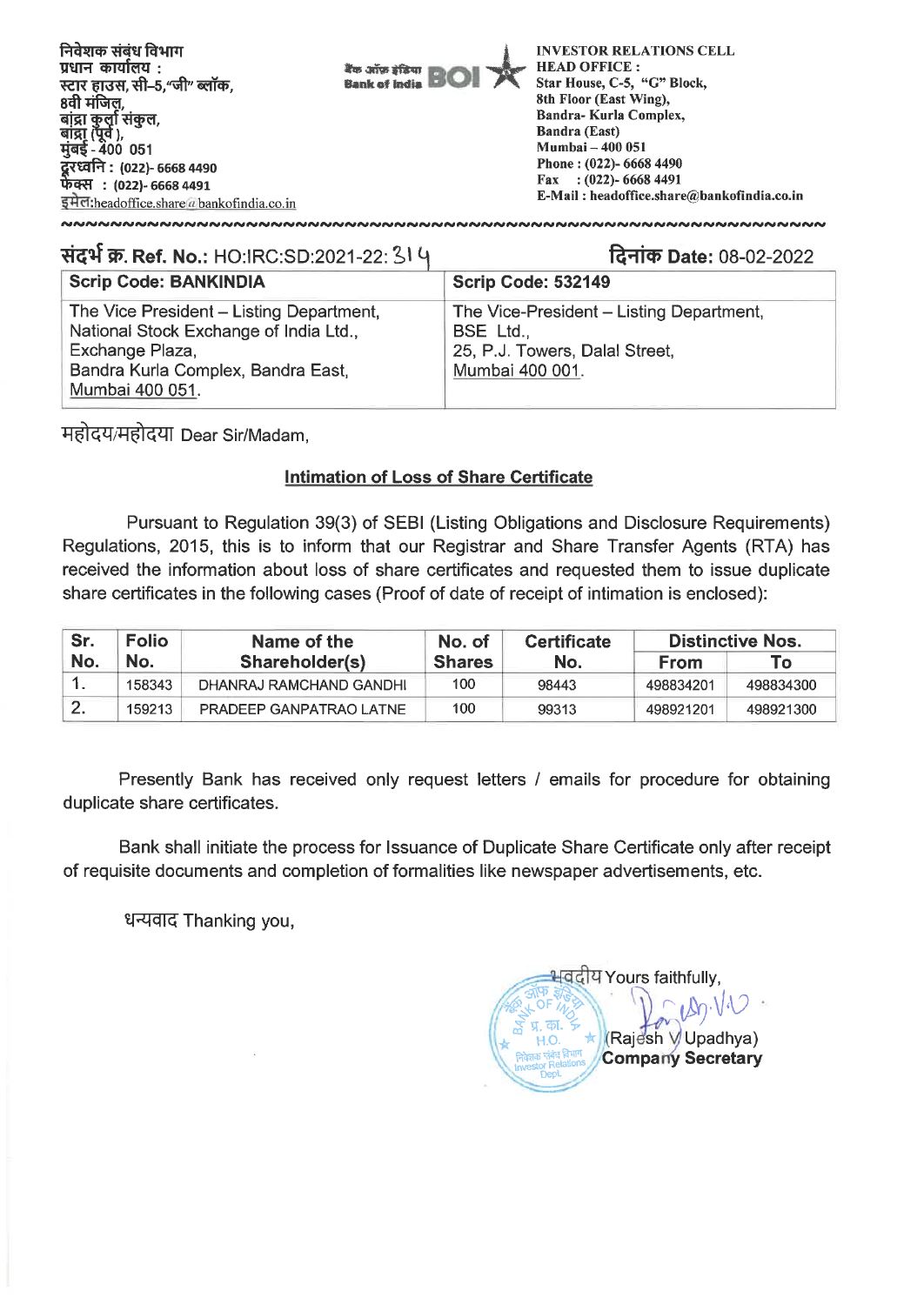| निवेशक संबंध विभाग<br>प्रधान कार्यालय :<br>स्टार हाउस, सी–5,"जी" ब्लॉक,<br>8वी मंजिल                                                                                 | बैंक ऑफ़ इंडिया<br><b>Bank of India</b> | <b>INVESTOR RELATIONS CELL</b><br><b>HEAD OFFICE:</b><br>Star House, C-5, "G" Block,<br>8th Floor (East Wing),<br>Bandra-Kurla Complex,              |
|----------------------------------------------------------------------------------------------------------------------------------------------------------------------|-----------------------------------------|------------------------------------------------------------------------------------------------------------------------------------------------------|
| बांद्रा कुर्ला संकुल,<br>बांद्रा (पूर्व ),<br>मुंबई - 400 051<br>दूरध्वनि : (022)- 6668 4490<br>फेक्स: (022)- 6668 4491<br>इमेल headoffice share a bankofindia.co.in |                                         | <b>Bandra (East)</b><br><b>Mumbai - 400 051</b><br>Phone: (022)- 6668 4490<br>Fax: $(022)$ - 6668 4491<br>E-Mail: headoffice.share@bankofindia.co.in |

# **संदर्भ क्र. Ref. No.: HO:IRC:SD:2021-22: 314**

# **ralict) Date:** 08-02-2022

| <b>Scrip Code: BANKINDIA</b>                                                                                                                                   | Scrip Code: 532149                                                                                         |
|----------------------------------------------------------------------------------------------------------------------------------------------------------------|------------------------------------------------------------------------------------------------------------|
| The Vice President - Listing Department,<br>National Stock Exchange of India Ltd.,<br>Exchange Plaza,<br>Bandra Kurla Complex, Bandra East,<br>Mumbai 400 051. | The Vice-President – Listing Department,<br>BSE Ltd.,<br>25, P.J. Towers, Dalal Street,<br>Mumbai 400 001. |

**Trift-W:iftqf** Dear Sir/Madam,

#### **Intimation of Loss of Share Certificate**

Pursuant to Regulation 39(3) of SEBI (Listing Obligations and Disclosure Requirements) Regulations, 2015, this is to inform that our Registrar and Share Transfer Agents (RTA) has received the information about loss of share certificates and requested them to issue duplicate share certificates in the following cases (Proof of date of receipt of intimation is enclosed):

| Sr. | <b>Folio</b> | Name of the             |               | <b>Certificate</b> | <b>Distinctive Nos.</b> |           |
|-----|--------------|-------------------------|---------------|--------------------|-------------------------|-----------|
| No. | No.          | Shareholder(s)          | <b>Shares</b> | No.                | <b>From</b>             | To T      |
|     | 158343       | DHANRAJ RAMCHAND GANDHI | 100           | 98443              | 498834201               | 498834300 |
|     | 159213       | PRADEEP GANPATRAO LATNE | 100           | 99313              | 498921201               | 498921300 |

Presently Bank has received only request letters / emails for procedure for obtaining duplicate share certificates.

Bank shall initiate the process for Issuance of Duplicate Share Certificate only after receipt of requisite documents and completion of formalities like newspaper advertisements, etc.

धन्यवाद Thanking you,

<u>भवदी</u>य Yours faithfully,  $109.10$ (Rajesh V Upadhya) **Company Secretary**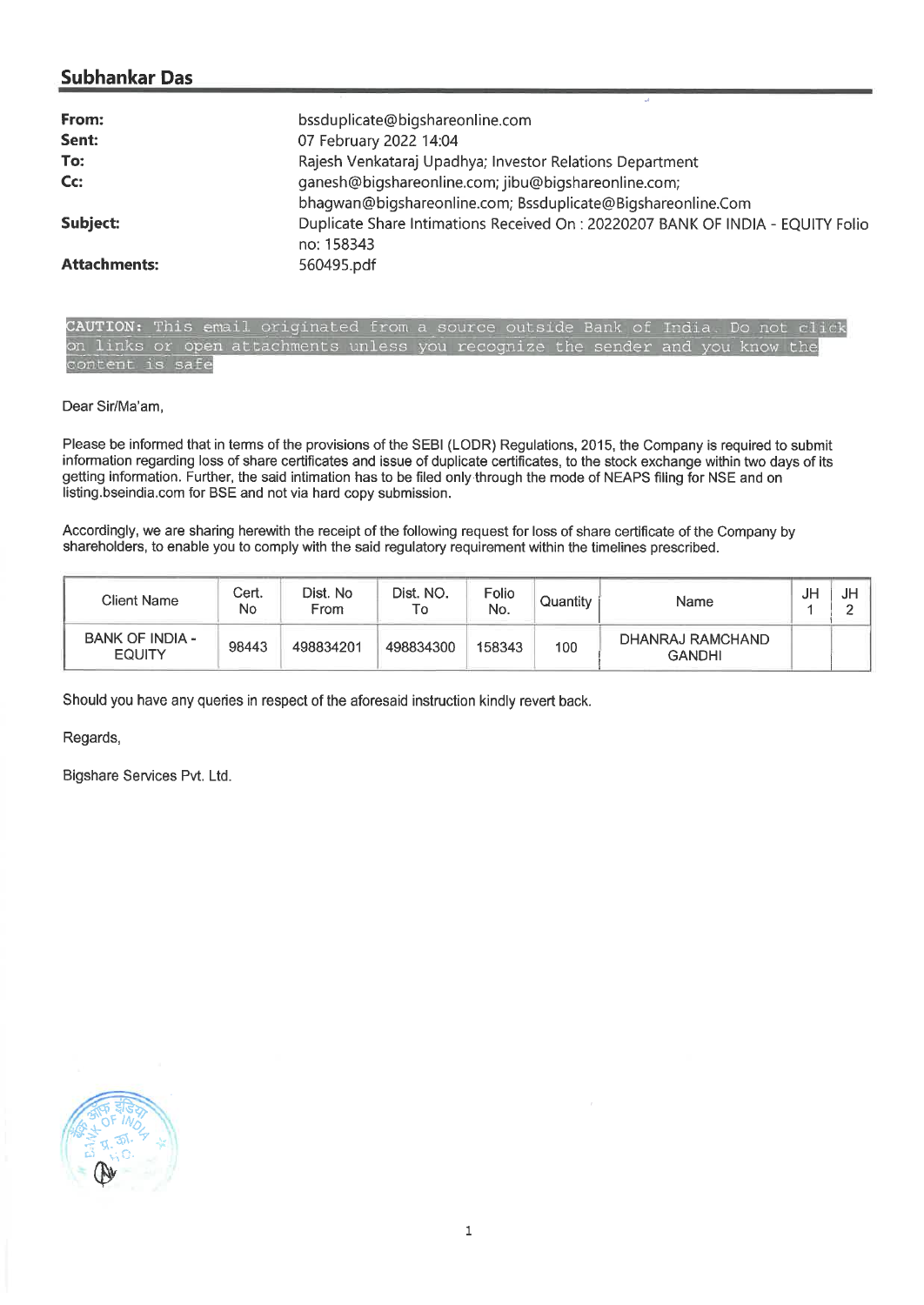## **Subhankar Das**

| From:               | bssduplicate@bigshareonline.com                                                               |
|---------------------|-----------------------------------------------------------------------------------------------|
| Sent:               | 07 February 2022 14:04                                                                        |
| To:                 | Rajesh Venkataraj Upadhya; Investor Relations Department                                      |
| Cc:                 | ganesh@bigshareonline.com; jibu@bigshareonline.com;                                           |
|                     | bhagwan@bigshareonline.com; Bssduplicate@Bigshareonline.Com                                   |
| Subject:            | Duplicate Share Intimations Received On : 20220207 BANK OF INDIA - EQUITY Folio<br>no: 158343 |
| <b>Attachments:</b> | 560495.pdf                                                                                    |

CAUTION: This email originated from a source outside Bank of India. Do not click on links or open attachments unless you recognize the sender and you know the content is safe

Dear Sir/Ma'am,

Please be informed that in terms of the provisions of the SEBI (LODR) Regulations, 2015, the Company is required to submit information regarding loss of share certificates and issue of duplicate certificates, to the stock exchange within two days of its getting information. Further, the said intimation has to be filed only through the mode of NEAPS filing for NSE and on listing.bseindia.com for BSE and not via hard copy submission.

Accordingly, we are sharing herewith the receipt of the following request for loss of share certificate of the Company by shareholders, to enable you to comply with the said regulatory requirement within the timelines prescribed.

| Client Name                             | Cert.<br>No | Dist. No<br>From | Dist. NO.<br>⊤o | Folio<br>No. | Quantity | Name                              | JF | JH. |
|-----------------------------------------|-------------|------------------|-----------------|--------------|----------|-----------------------------------|----|-----|
| <b>BANK OF INDIA -</b><br><b>EQUITY</b> | 98443       | 498834201        | 498834300       | 158343       | 100      | DHANRAJ RAMCHAND<br><b>GANDHI</b> |    |     |

Should you have any queries in respect of the aforesaid instruction kindly revert back.

Regards,

Bigshare Services Pvt. Ltd.

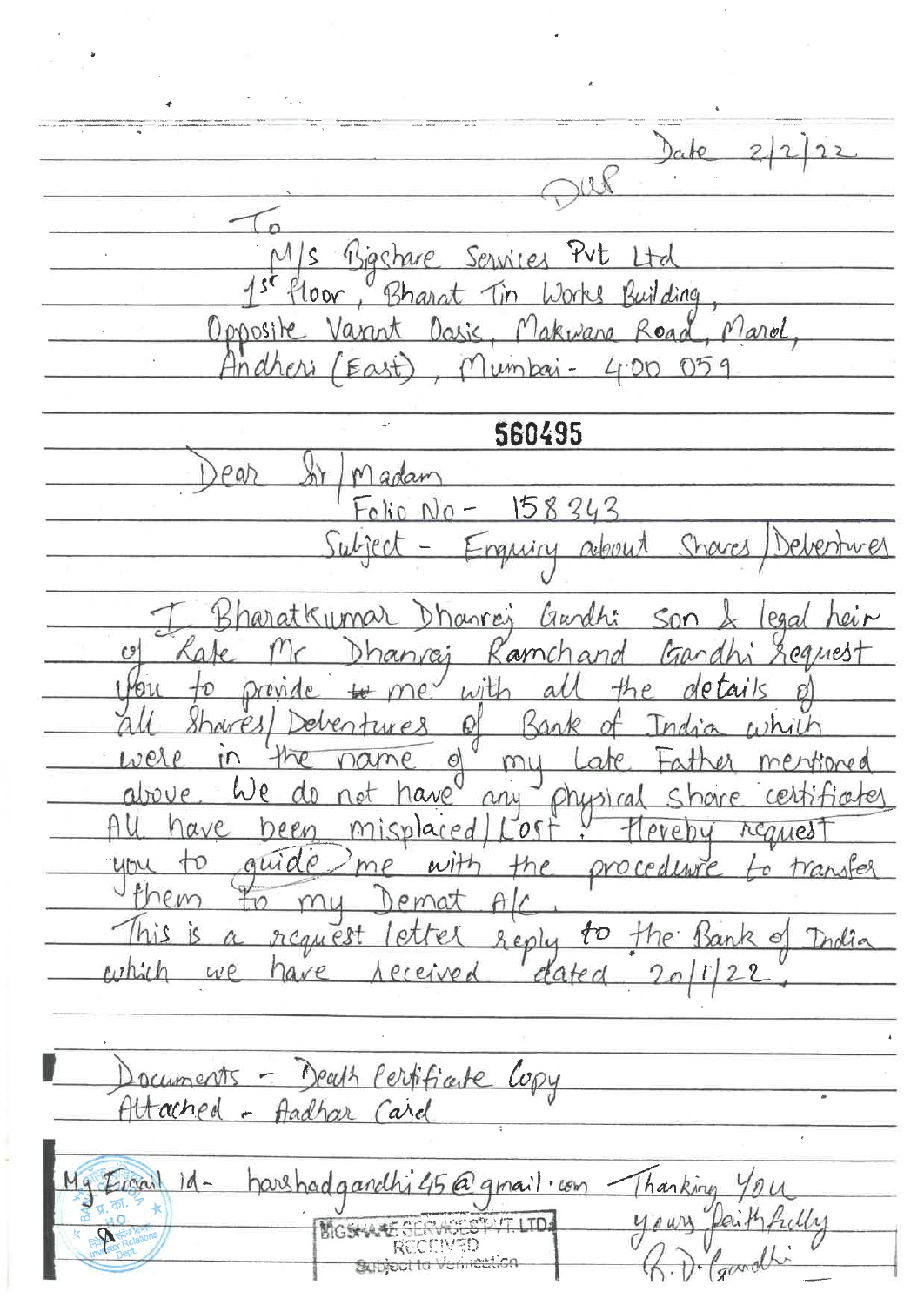$D_{c}$ te  $\Omega$ Bashare Services Put Ltd  $\mathcal{S}$ Building  $00<sup>o</sup>$  $20$ rke Marol Opposite Daris, Makwana Road lumbar-<u>Indheri</u>  $400$ East 560495  $\rho$ ah Madar 158343 Folio N Subject about mun laratkumar Dhanres Gurdhi  $S<sub>0</sub>$  $P90$ Dhanvai amch pames 13 were O mu above  $0000$ Al  $ave$ heen m plared  $0$  $\rho_{\rm V}$ ΛC  $a\mu$ tranifes proced WNP ema Seply request ŢО India ρХ ne.  $\circ$ dated have eceived  $UP$  $20$ Death Perfificute Copy ocuments Attached - Aadhar Card harshadgand My Email  $1d 15Q$  qmail com Thanking  $u_{\ell}$ ALT LTD BIGSYWY N/ED. **HOLLIGA** Subject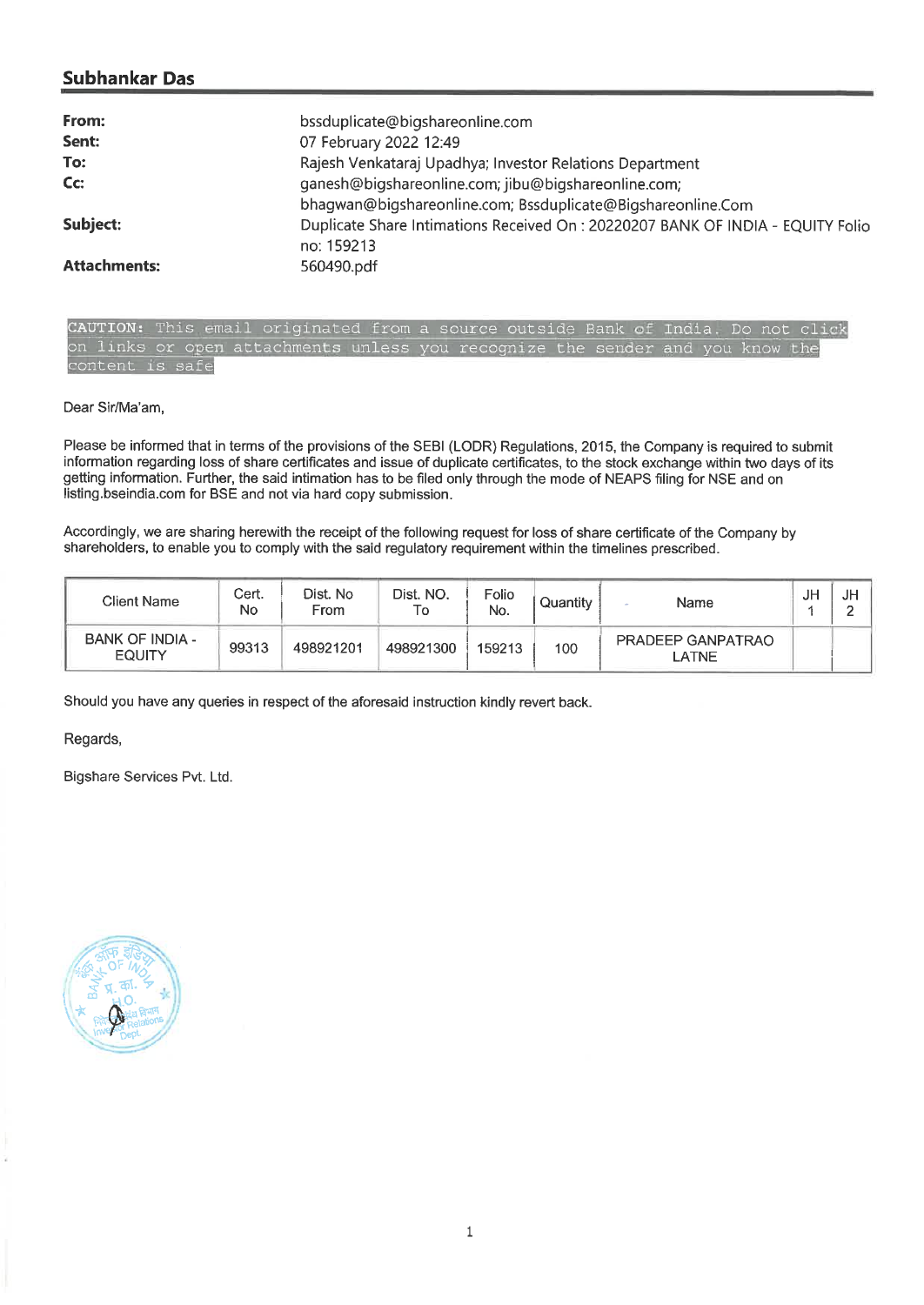## **Subhankar Das**

| From:               | bssduplicate@bigshareonline.com                                                               |
|---------------------|-----------------------------------------------------------------------------------------------|
| Sent:               | 07 February 2022 12:49                                                                        |
| To:                 | Rajesh Venkataraj Upadhya; Investor Relations Department                                      |
| C <sub>C</sub>      | ganesh@bigshareonline.com; jibu@bigshareonline.com;                                           |
|                     | bhagwan@bigshareonline.com; Bssduplicate@Bigshareonline.Com                                   |
| Subject:            | Duplicate Share Intimations Received On : 20220207 BANK OF INDIA - EQUITY Folio<br>no: 159213 |
| <b>Attachments:</b> | 560490.pdf                                                                                    |

CAUTION: This email originated from a source outside Bank of India. Do not click on links or open attachments unless you recognize the sender and you know the content is safe

Dear Sir/Ma'am,

Please be informed that in terms of the provisions of the SEBI (LODR) Regulations, 2015, the Company is required to submit information regarding loss of share certificates and issue of duplicate certificates, to the stock exchange within two days of its getting information. Further, the said intimation has to be filed only through the mode of NEAPS filing for NSE and on listing.bseindia.com for BSE and not via hard copy submission.

Accordingly, we are sharing herewith the receipt of the following request for loss of share certificate of the Company by shareholders, to enable you to comply with the said regulatory requirement within the timelines prescribed.

| Client Name                             | Cert.<br>No | Dist. No<br>From | Dist. NO.<br>۱o | Folio<br>No. | Quantitv | Name                       | JF | JH |
|-----------------------------------------|-------------|------------------|-----------------|--------------|----------|----------------------------|----|----|
| <b>BANK OF INDIA -</b><br><b>EQUITY</b> | 99313       | 498921201        | 498921300       | 159213       | 100      | PRADEEP GANPATRAO<br>_ATNE |    |    |

Should you have any queries in respect of the aforesaid instruction kindly revert back.

Regards,

Bigshare Services Pvt. Ltd.